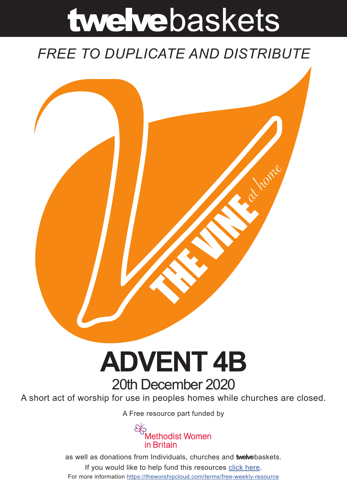# twelvebaskets

### *FREE TO DUPLICATE AND DISTRIBUTE*



## **ADVENT 4B** 20th December 2020

A short act of worship for use in peoples homes while churches are closed.

A Free resource part funded by



as well as donations from Individuals, churches and **twelve**baskets. If you would like to help fund this resources click here. For more information https://theworshipcloud.com/terms/free-weekly-resource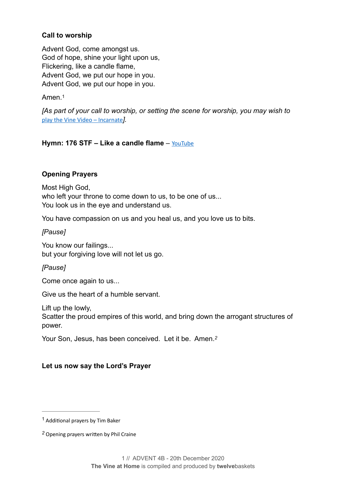#### **Call to worship**

Advent God, come amongst us. God of hope, shine your light upon us, Flickering, like a candle flame, Advent God, we put our hope in you. Advent God, we put our hope in you.

<span id="page-1-2"></span>Amen<sup>[1](#page-1-0)</sup>

*[As part of your call to worship, or setting the scene for worship, you may wish to*  [play the Vine Video – Incarnate](https://theworshipcloud.com/view/store/twelvebaskets-vine-video-incarnate-the-vine-video-20th-december-2020)*].*

#### **Hymn: 176 STF – Like a candle flame** – [YouTube](https://www.youtube.com/watch?v=cZGVQKjn_V8)

#### **Opening Prayers**

Most High God, who left your throne to come down to us, to be one of us... You look us in the eye and understand us.

You have compassion on us and you heal us, and you love us to bits.

#### *[Pause]*

You know our failings... but your forgiving love will not let us go.

*[Pause]*

Come once again to us...

Give us the heart of a humble servant.

Lift up the lowly,

Scatter the proud empires of this world, and bring down the arrogant structures of power.

<span id="page-1-3"></span>Your Son, Jesus, has been conceived. Let it be. Amen.*[2](#page-1-1)*

#### **Let us now say the Lord's Prayer**

<span id="page-1-0"></span> $1$  Additional prayers by Tim Baker

<span id="page-1-1"></span>Opening prayers written by Phil Craine *[2](#page-1-3)*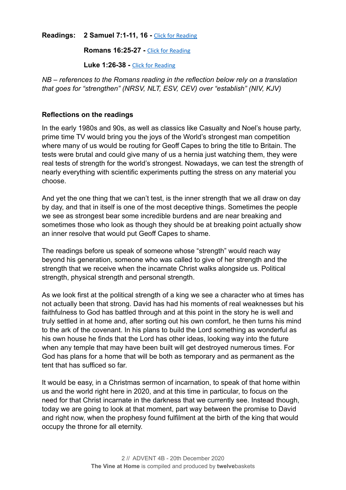#### **Readings: 2 Samuel 7:1-11, 16 - [Click for Reading](https://www.biblegateway.com/passage/?search=2+Samuel+7:1-11,+16&version=NRSV)**

**Romans 16:25-27 -** [Click for Reading](https://www.biblegateway.com/passage/?search=Romans+16:25-27&version=NRSV)

**Luke 1:26-38 -** [Click for Reading](https://www.biblegateway.com/passage/?search=Luke+1:26-38&version=NRSV)

*NB – references to the Romans reading in the reflection below rely on a translation that goes for "strengthen" (NRSV, NLT, ESV, CEV) over "establish" (NIV, KJV)*

#### **Reflections on the readings**

In the early 1980s and 90s, as well as classics like Casualty and Noel's house party, prime time TV would bring you the joys of the World's strongest man competition where many of us would be routing for Geoff Capes to bring the title to Britain. The tests were brutal and could give many of us a hernia just watching them, they were real tests of strength for the world's strongest. Nowadays, we can test the strength of nearly everything with scientific experiments putting the stress on any material you choose.

And yet the one thing that we can't test, is the inner strength that we all draw on day by day, and that in itself is one of the most deceptive things. Sometimes the people we see as strongest bear some incredible burdens and are near breaking and sometimes those who look as though they should be at breaking point actually show an inner resolve that would put Geoff Capes to shame.

The readings before us speak of someone whose "strength" would reach way beyond his generation, someone who was called to give of her strength and the strength that we receive when the incarnate Christ walks alongside us. Political strength, physical strength and personal strength.

As we look first at the political strength of a king we see a character who at times has not actually been that strong. David has had his moments of real weaknesses but his faithfulness to God has battled through and at this point in the story he is well and truly settled in at home and, after sorting out his own comfort, he then turns his mind to the ark of the covenant. In his plans to build the Lord something as wonderful as his own house he finds that the Lord has other ideas, looking way into the future when any temple that may have been built will get destroyed numerous times. For God has plans for a home that will be both as temporary and as permanent as the tent that has sufficed so far.

It would be easy, in a Christmas sermon of incarnation, to speak of that home within us and the world right here in 2020, and at this time in particular, to focus on the need for that Christ incarnate in the darkness that we currently see. Instead though, today we are going to look at that moment, part way between the promise to David and right now, when the prophesy found fulfilment at the birth of the king that would occupy the throne for all eternity.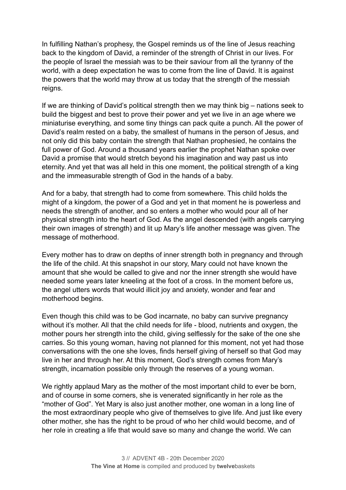In fulfilling Nathan's prophesy, the Gospel reminds us of the line of Jesus reaching back to the kingdom of David, a reminder of the strength of Christ in our lives. For the people of Israel the messiah was to be their saviour from all the tyranny of the world, with a deep expectation he was to come from the line of David. It is against the powers that the world may throw at us today that the strength of the messiah reigns.

If we are thinking of David's political strength then we may think big – nations seek to build the biggest and best to prove their power and yet we live in an age where we miniaturise everything, and some tiny things can pack quite a punch. All the power of David's realm rested on a baby, the smallest of humans in the person of Jesus, and not only did this baby contain the strength that Nathan prophesied, he contains the full power of God. Around a thousand years earlier the prophet Nathan spoke over David a promise that would stretch beyond his imagination and way past us into eternity. And yet that was all held in this one moment, the political strength of a king and the immeasurable strength of God in the hands of a baby.

And for a baby, that strength had to come from somewhere. This child holds the might of a kingdom, the power of a God and yet in that moment he is powerless and needs the strength of another, and so enters a mother who would pour all of her physical strength into the heart of God. As the angel descended (with angels carrying their own images of strength) and lit up Mary's life another message was given. The message of motherhood.

Every mother has to draw on depths of inner strength both in pregnancy and through the life of the child. At this snapshot in our story, Mary could not have known the amount that she would be called to give and nor the inner strength she would have needed some years later kneeling at the foot of a cross. In the moment before us, the angel utters words that would illicit joy and anxiety, wonder and fear and motherhood begins.

Even though this child was to be God incarnate, no baby can survive pregnancy without it's mother. All that the child needs for life - blood, nutrients and oxygen, the mother pours her strength into the child, giving selflessly for the sake of the one she carries. So this young woman, having not planned for this moment, not yet had those conversations with the one she loves, finds herself giving of herself so that God may live in her and through her. At this moment, God's strength comes from Mary's strength, incarnation possible only through the reserves of a young woman.

We rightly applaud Mary as the mother of the most important child to ever be born, and of course in some corners, she is venerated significantly in her role as the "mother of God". Yet Mary is also just another mother, one woman in a long line of the most extraordinary people who give of themselves to give life. And just like every other mother, she has the right to be proud of who her child would become, and of her role in creating a life that would save so many and change the world. We can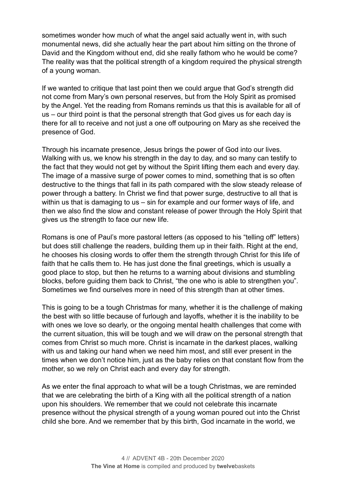sometimes wonder how much of what the angel said actually went in, with such monumental news, did she actually hear the part about him sitting on the throne of David and the Kingdom without end, did she really fathom who he would be come? The reality was that the political strength of a kingdom required the physical strength of a young woman.

If we wanted to critique that last point then we could argue that God's strength did not come from Mary's own personal reserves, but from the Holy Spirit as promised by the Angel. Yet the reading from Romans reminds us that this is available for all of us – our third point is that the personal strength that God gives us for each day is there for all to receive and not just a one off outpouring on Mary as she received the presence of God.

Through his incarnate presence, Jesus brings the power of God into our lives. Walking with us, we know his strength in the day to day, and so many can testify to the fact that they would not get by without the Spirit lifting them each and every day. The image of a massive surge of power comes to mind, something that is so often destructive to the things that fall in its path compared with the slow steady release of power through a battery. In Christ we find that power surge, destructive to all that is within us that is damaging to us – sin for example and our former ways of life, and then we also find the slow and constant release of power through the Holy Spirit that gives us the strength to face our new life.

Romans is one of Paul's more pastoral letters (as opposed to his "telling off" letters) but does still challenge the readers, building them up in their faith. Right at the end, he chooses his closing words to offer them the strength through Christ for this life of faith that he calls them to. He has just done the final greetings, which is usually a good place to stop, but then he returns to a warning about divisions and stumbling blocks, before guiding them back to Christ, "the one who is able to strengthen you". Sometimes we find ourselves more in need of this strength than at other times.

This is going to be a tough Christmas for many, whether it is the challenge of making the best with so little because of furlough and layoffs, whether it is the inability to be with ones we love so dearly, or the ongoing mental health challenges that come with the current situation, this will be tough and we will draw on the personal strength that comes from Christ so much more. Christ is incarnate in the darkest places, walking with us and taking our hand when we need him most, and still ever present in the times when we don't notice him, just as the baby relies on that constant flow from the mother, so we rely on Christ each and every day for strength.

As we enter the final approach to what will be a tough Christmas, we are reminded that we are celebrating the birth of a King with all the political strength of a nation upon his shoulders. We remember that we could not celebrate this incarnate presence without the physical strength of a young woman poured out into the Christ child she bore. And we remember that by this birth, God incarnate in the world, we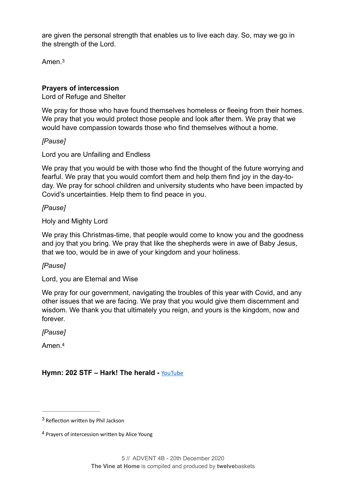are given the personal strength that enables us to live each day. So, may we go in the strength of the Lord.

<span id="page-5-2"></span>Amen<sup>[3](#page-5-0)</sup>

#### **Prayers of intercession**

Lord of Refuge and Shelter

We pray for those who have found themselves homeless or fleeing from their homes. We pray that you would protect those people and look after them. We pray that we would have compassion towards those who find themselves without a home.

#### *[Pause]*

Lord you are Unfailing and Endless

We pray that you would be with those who find the thought of the future worrying and fearful. We pray that you would comfort them and help them find joy in the day-today. We pray for school children and university students who have been impacted by Covid's uncertainties. Help them to find peace in you.

#### *[Pause]*

Holy and Mighty Lord

We pray this Christmas-time, that people would come to know you and the goodness and joy that you bring. We pray that like the shepherds were in awe of Baby Jesus, that we too, would be in awe of your kingdom and your holiness.

#### *[Pause]*

Lord, you are Eternal and Wise

We pray for our government, navigating the troubles of this year with Covid, and any other issues that we are facing. We pray that you would give them discernment and wisdom. We thank you that ultimately you reign, and yours is the kingdom, now and forever.

*[Pause]*

<span id="page-5-3"></span>Amen.[4](#page-5-1)

#### **Hymn: 202 STF - Hark! The herald - [YouTube](https://youtu.be/mEmraZ4X5ws)**

<span id="page-5-0"></span><sup>&</sup>lt;sup>[3](#page-5-2)</sup> Reflection written by Phil Jackson

<span id="page-5-1"></span><sup>&</sup>lt;sup>[4](#page-5-3)</sup> Prayers of intercession written by Alice Young